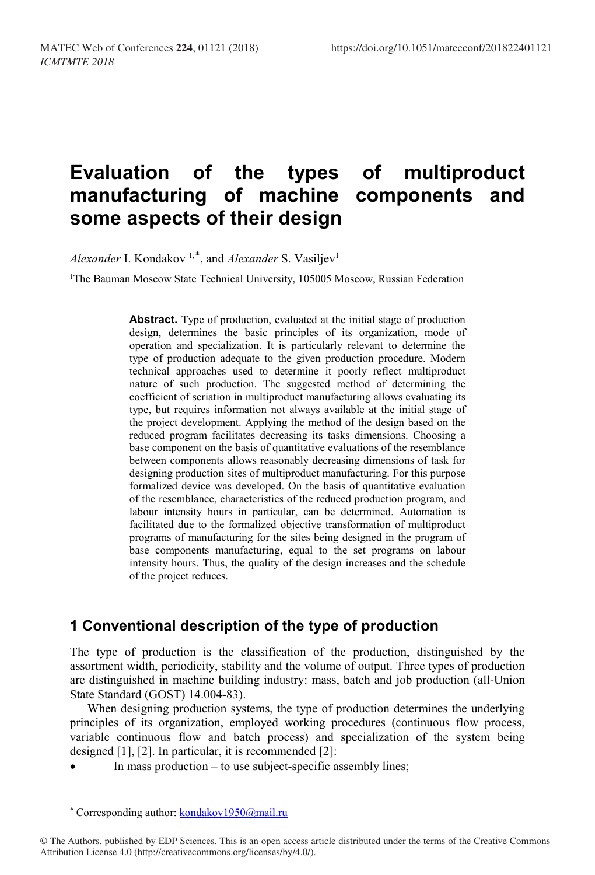# **Evaluation of the types of multiproduct manufacturing of machine components and some aspects of their design**

*Alexander* I. Kondakov<sup>1,[\\*](#page-0-0)</sup>, and *Alexander* S. Vasiljev<sup>1</sup>

<sup>1</sup>The Bauman Moscow State Technical University, 105005 Moscow, Russian Federation

**Abstract.** Type of production, evaluated at the initial stage of production design, determines the basic principles of its organization, mode of operation and specialization. It is particularly relevant to determine the type of production adequate to the given production procedure. Modern technical approaches used to determine it poorly reflect multiproduct nature of such production. The suggested method of determining the coefficient of seriation in multiproduct manufacturing allows evaluating its type, but requires information not always available at the initial stage of the project development. Applying the method of the design based on the reduced program facilitates decreasing its tasks dimensions. Choosing a base component on the basis of quantitative evaluations of the resemblance between components allows reasonably decreasing dimensions of task for designing production sites of multiproduct manufacturing. For this purpose formalized device was developed. On the basis of quantitative evaluation of the resemblance, characteristics of the reduced production program, and labour intensity hours in particular, can be determined. Automation is facilitated due to the formalized objective transformation of multiproduct programs of manufacturing for the sites being designed in the program of base components manufacturing, equal to the set programs on labour intensity hours. Thus, the quality of the design increases and the schedule of the project reduces.

## **1 Conventional description of the type of production**

The type of production is the classification of the production, distinguished by the assortment width, periodicity, stability and the volume of output. Three types of production are distinguished in machine building industry: mass, batch and job production (all-Union State Standard (GOST) 14.004-83).

When designing production systems, the type of production determines the underlying principles of its organization, employed working procedures (continuous flow process, variable continuous flow and batch process) and specialization of the system being designed [1], [2]. In particular, it is recommended [2]:

In mass production  $-$  to use subject-specific assembly lines;

 $\overline{a}$ 

<sup>\*</sup> Corresponding author: kondakov1950@mail.ru

<span id="page-0-0"></span><sup>©</sup> The Authors, published by EDP Sciences. This is an open access article distributed under the terms of the Creative Commons Attribution License 4.0 (http://creativecommons.org/licenses/by/4.0/).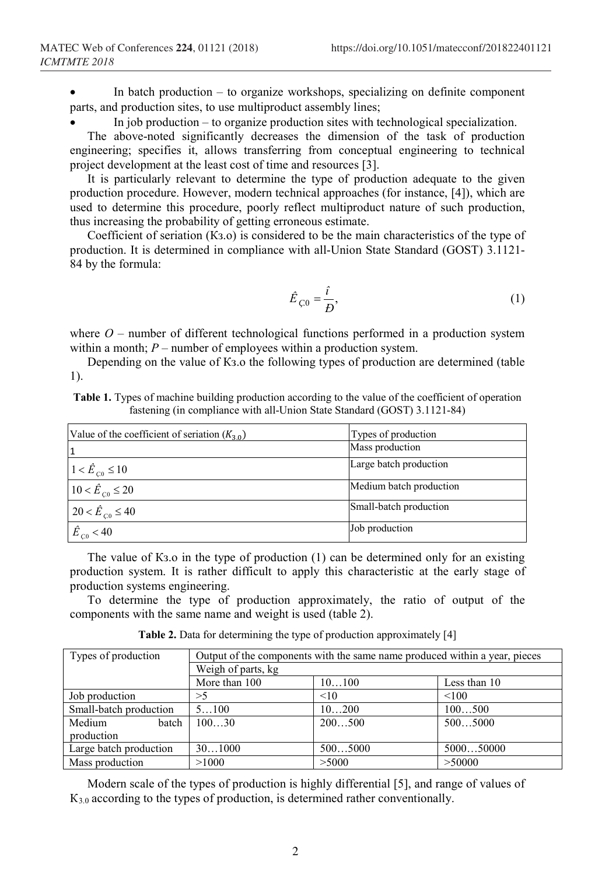In batch production – to organize workshops, specializing on definite component parts, and production sites, to use multiproduct assembly lines;

• In job production – to organize production sites with technological specialization.

The above-noted significantly decreases the dimension of the task of production engineering; specifies it, allows transferring from conceptual engineering to technical project development at the least cost of time and resources [3].

It is particularly relevant to determine the type of production adequate to the given production procedure. However, modern technical approaches (for instance, [4]), which are used to determine this procedure, poorly reflect multiproduct nature of such production, thus increasing the probability of getting erroneous estimate.

Coefficient of seriation (Кз.о) is considered to be the main characteristics of the type of production. It is determined in compliance with all-Union State Standard (GOST) 3.1121- 84 by the formula:

$$
\hat{E}_{\zeta 0} = \frac{\hat{i}}{B},\tag{1}
$$

where  $O$  – number of different technological functions performed in a production system within a month; *P* – number of employees within a production system.

Depending on the value of Кз.о the following types of production are determined (table 1).

| <b>Table 1.</b> Types of machine building production according to the value of the coefficient of operation |  |
|-------------------------------------------------------------------------------------------------------------|--|
| fastening (in compliance with all-Union State Standard (GOST) 3.1121-84)                                    |  |

| Value of the coefficient of seriation $(K_{3,0})$ | Types of production     |  |
|---------------------------------------------------|-------------------------|--|
|                                                   | Mass production         |  |
| $1 < \hat{E}_{c0} \le 10$                         | Large batch production  |  |
| $10 < \hat{E}_{c0} \leq 20$                       | Medium batch production |  |
| $20 < \hat{E}_{c0} \le 40$                        | Small-batch production  |  |
| $\hat{E}_{C0}$ < 40                               | Job production          |  |

The value of K<sub>3</sub>.0 in the type of production (1) can be determined only for an existing production system. It is rather difficult to apply this characteristic at the early stage of production systems engineering.

To determine the type of production approximately, the ratio of output of the components with the same name and weight is used (table 2).

**Table 2.** Data for determining the type of production approximately [4]

| Types of production    | Output of the components with the same name produced within a year, pieces |         |              |  |
|------------------------|----------------------------------------------------------------------------|---------|--------------|--|
|                        | Weigh of parts, kg                                                         |         |              |  |
|                        | More than 100                                                              | 10100   | Less than 10 |  |
| Job production         | >5                                                                         | < 10    | < 100        |  |
| Small-batch production | 5100                                                                       | 10200   | 100500       |  |
| Medium<br>batch        | 10030                                                                      | 200500  | 5005000      |  |
| production             |                                                                            |         |              |  |
| Large batch production | 301000                                                                     | 5005000 | 500050000    |  |
| Mass production        | >1000                                                                      | >5000   | >50000       |  |

Modern scale of the types of production is highly differential [5], and range of values of К3.0 according to the types of production, is determined rather conventionally.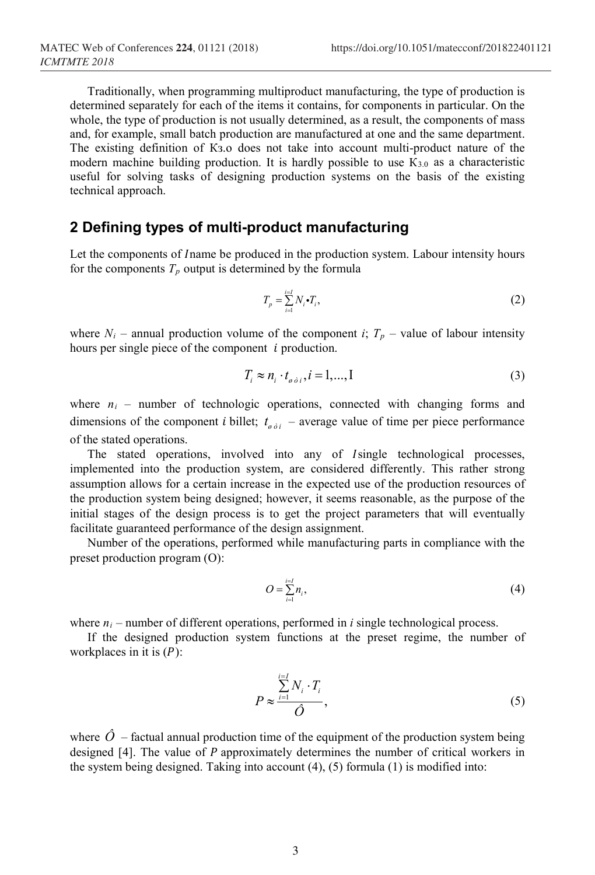Traditionally, when programming multiproduct manufacturing, the type of production is determined separately for each of the items it contains, for components in particular. On the whole, the type of production is not usually determined, as a result, the components of mass and, for example, small batch production are manufactured at one and the same department. The existing definition of Кз.о does not take into account multi-product nature of the modern machine building production. It is hardly possible to use  $K_{3,0}$  as a characteristic useful for solving tasks of designing production systems on the basis of the existing technical approach.

### **2 Defining types of multi-product manufacturing**

Let the components of *Iname be produced in the production system*. Labour intensity hours for the components  $T_p$  output is determined by the formula

$$
T_p = \sum_{i=1}^{i=1} N_i \cdot T_i,\tag{2}
$$

where  $N_i$  – annual production volume of the component *i*;  $T_p$  – value of labour intensity hours per single piece of the component  $i$  production.

$$
T_i \approx n_i \cdot t_{\sigma \dot{\sigma} i}, i = 1,...,I
$$
\n(3)

where  $n_i$  – number of technologic operations, connected with changing forms and dimensions of the component *i* billet;  $t_{\theta \dot{\theta}i}$  – average value of time per piece performance of the stated operations.

The stated operations, involved into any of *Isingle* technological processes, implemented into the production system, are considered differently. This rather strong assumption allows for a certain increase in the expected use of the production resources of the production system being designed; however, it seems reasonable, as the purpose of the initial stages of the design process is to get the project parameters that will eventually facilitate guaranteed performance of the design assignment.

Number of the operations, performed while manufacturing parts in compliance with the preset production program (O):

$$
O = \sum_{i=1}^{i=1} n_i,\tag{4}
$$

where  $n_i$  – number of different operations, performed in *i* single technological process.

If the designed production system functions at the preset regime, the number of workplaces in it is  $(P)$ :

$$
P \approx \frac{\sum_{i=1}^{i=1} N_i \cdot T_i}{\hat{O}},\tag{5}
$$

where  $\hat{O}$  – factual annual production time of the equipment of the production system being designed  $[4]$ . The value of  $P$  approximately determines the number of critical workers in the system being designed. Taking into account (4), (5) formula (1) is modified into: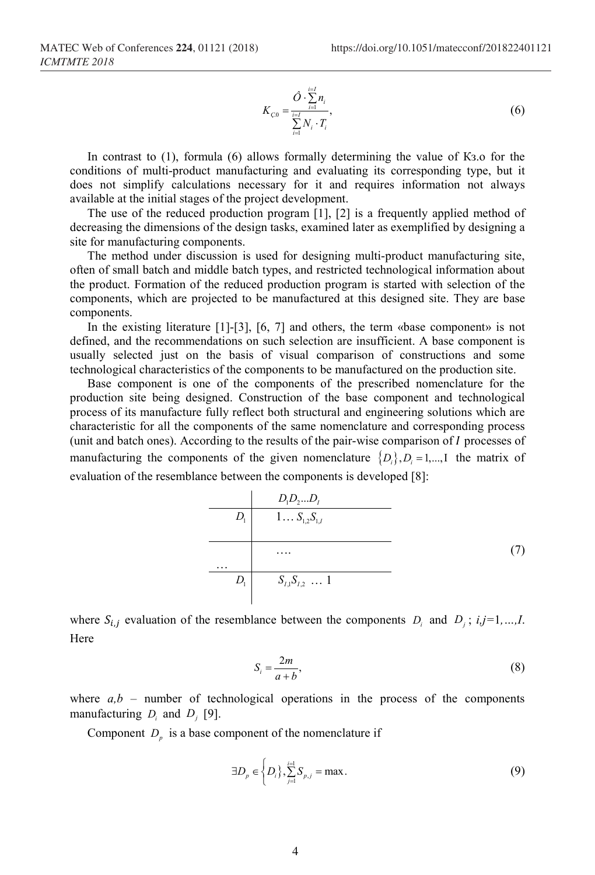$$
K_{\varsigma 0} = \frac{\hat{O} \cdot \sum\limits_{i=1}^{i=1} n_i}{\sum\limits_{i=1}^{i=1} N_i \cdot T_i},\tag{6}
$$

In contrast to (1), formula (6) allows formally determining the value of Кз.о for the conditions of multi-product manufacturing and evaluating its corresponding type, but it does not simplify calculations necessary for it and requires information not always available at the initial stages of the project development.

The use of the reduced production program [1], [2] is a frequently applied method of decreasing the dimensions of the design tasks, examined later as exemplified by designing a site for manufacturing components.

The method under discussion is used for designing multi-product manufacturing site, often of small batch and middle batch types, and restricted technological information about the product. Formation of the reduced production program is started with selection of the components, which are projected to be manufactured at this designed site. They are base components.

In the existing literature [1]-[3], [6, 7] and others, the term «base component» is not defined, and the recommendations on such selection are insufficient. A base component is usually selected just on the basis of visual comparison of constructions and some technological characteristics of the components to be manufactured on the production site.

Base component is one of the components of the prescribed nomenclature for the production site being designed. Construction of the base component and technological process of its manufacture fully reflect both structural and engineering solutions which are characteristic for all the components of the same nomenclature and corresponding process (unit and batch ones). According to the results of the pair-wise comparison of  $I$  processes of manufacturing the components of the given nomenclature  $\{D_i\}$ ,  $D_i = 1,...,I$  the matrix of evaluation of the resemblance between the components is developed [8]:

$$
D_{1}D_{2}...D_{I}
$$
\n
$$
D_{1} \t 1... S_{1,2}S_{1,I}
$$
\n
$$
...
$$
\n
$$
D_{1} \t S_{I,1}S_{I,2} ... 1
$$
\n(7)

where  $S_{i,j}$  evaluation of the resemblance between the components  $D_i$  and  $D_j$ ;  $i, j=1,...,I$ . Here

$$
S_i = \frac{2m}{a+b},\tag{8}
$$

where  $a,b$  – number of technological operations in the process of the components manufacturing  $D_i$  and  $D_j$  [9].

Component  $D<sub>n</sub>$  is a base component of the nomenclature if

$$
\exists D_p \in \left\{ D_i \right\}, \sum_{j=1}^{i=1} S_{p,j} = \max. \tag{9}
$$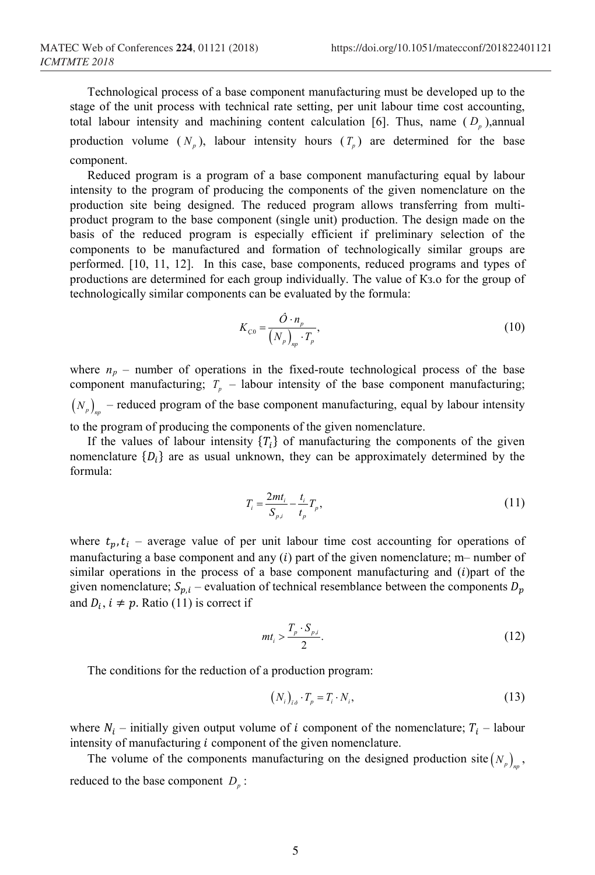Technological process of a base component manufacturing must be developed up to the stage of the unit process with technical rate setting, per unit labour time cost accounting, total labour intensity and machining content calculation [6]. Thus, name  $(D_p)$ , annual production volume  $(N_p)$ , labour intensity hours  $(T_p)$  are determined for the base component.

Reduced program is a program of a base component manufacturing equal by labour intensity to the program of producing the components of the given nomenclature on the production site being designed. The reduced program allows transferring from multiproduct program to the base component (single unit) production. The design made on the basis of the reduced program is especially efficient if preliminary selection of the components to be manufactured and formation of technologically similar groups are performed. [10, 11, 12]. In this case, base components, reduced programs and types of productions are determined for each group individually. The value of Кз.о for the group of technologically similar components can be evaluated by the formula:

$$
K_{\text{C0}} = \frac{\hat{O} \cdot n_p}{\left(N_p\right)_{\text{np}} \cdot T_p},\tag{10}
$$

where  $n_p$  – number of operations in the fixed-route technological process of the base component manufacturing;  $T_p$  – labour intensity of the base component manufacturing;  $(N_p)$ <sup>n</sup> – reduced program of the base component manufacturing, equal by labour intensity to the program of producing the components of the given nomenclature.

If the values of labour intensity  $\{T_i\}$  of manufacturing the components of the given nomenclature  ${D_i}$  are as usual unknown, they can be approximately determined by the formula:

$$
T_i = \frac{2mt_i}{S_{p,i}} - \frac{t_i}{t_p} T_p,
$$
\n(11)

where  $t_p, t_i$  – average value of per unit labour time cost accounting for operations of manufacturing a base component and any  $(i)$  part of the given nomenclature; m– number of similar operations in the process of a base component manufacturing and  $(i)$ part of the given nomenclature;  $S_{p,i}$  – evaluation of technical resemblance between the components  $D_p$ and  $D_i$ ,  $i \neq p$ . Ratio (11) is correct if

$$
mt_i > \frac{T_p \cdot S_{p,i}}{2}.\tag{12}
$$

The conditions for the reduction of a production program:

$$
(N_i)_{i\delta} \cdot T_p = T_i \cdot N_i, \qquad (13)
$$

where  $N_i$  – initially given output volume of i component of the nomenclature;  $T_i$  – labour intensity of manufacturing  $i$  component of the given nomenclature.

The volume of the components manufacturing on the designed production site  $(N_n)$ , reduced to the base component  $D_p$ :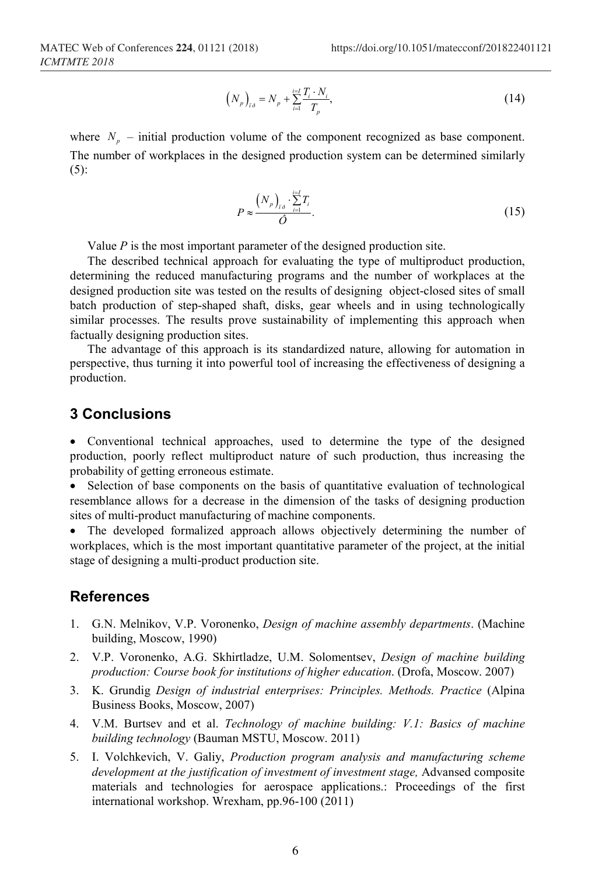$$
\left(N_{p}\right)_{i\delta} = N_{p} + \sum_{i=1}^{i=1} \frac{T_{i} \cdot N_{i}}{T_{p}},\tag{14}
$$

where  $N_p$  – initial production volume of the component recognized as base component. The number of workplaces in the designed production system can be determined similarly  $(5)$ :

$$
P \approx \frac{\left(N_p\right)_{i\delta} \cdot \sum\limits_{i=1}^{i=1} T_i}{\hat{O}}.\tag{15}
$$

Value *P* is the most important parameter of the designed production site.

The described technical approach for evaluating the type of multiproduct production, determining the reduced manufacturing programs and the number of workplaces at the designed production site was tested on the results of designing object-closed sites of small batch production of step-shaped shaft, disks, gear wheels and in using technologically similar processes. The results prove sustainability of implementing this approach when factually designing production sites.

The advantage of this approach is its standardized nature, allowing for automation in perspective, thus turning it into powerful tool of increasing the effectiveness of designing a production.

#### **3 Conclusions**

• Conventional technical approaches, used to determine the type of the designed production, poorly reflect multiproduct nature of such production, thus increasing the probability of getting erroneous estimate.

• Selection of base components on the basis of quantitative evaluation of technological resemblance allows for a decrease in the dimension of the tasks of designing production sites of multi-product manufacturing of machine components.

• The developed formalized approach allows objectively determining the number of workplaces, which is the most important quantitative parameter of the project, at the initial stage of designing a multi-product production site.

#### **References**

- 1. G.N. Melnikov, V.P. Voronenko, *Design of machine assembly departments*. (Machine building, Moscow, 1990)
- 2. V.P. Voronenko, A.G. Skhirtladze, U.M. Solomentsev, *Design of machine building production: Course book for institutions of higher education*. (Drofa, Moscow. 2007)
- 3. K. Grundig *Design of industrial enterprises: Principles. Methods. Practice* (Alpina Business Books, Moscow, 2007)
- 4. V.M. Burtsev and et al. *Technology of machine building: V.1: Basics of machine building technology* (Bauman MSTU, Moscow. 2011)
- 5. I. Volchkevich, V. Galiy, *Production program analysis and manufacturing scheme development at the justification of investment of investment stage,* Advansed composite materials and technologies for aerospace applications.: Proceedings of the first international workshop. Wrexham, pp.96-100 (2011)